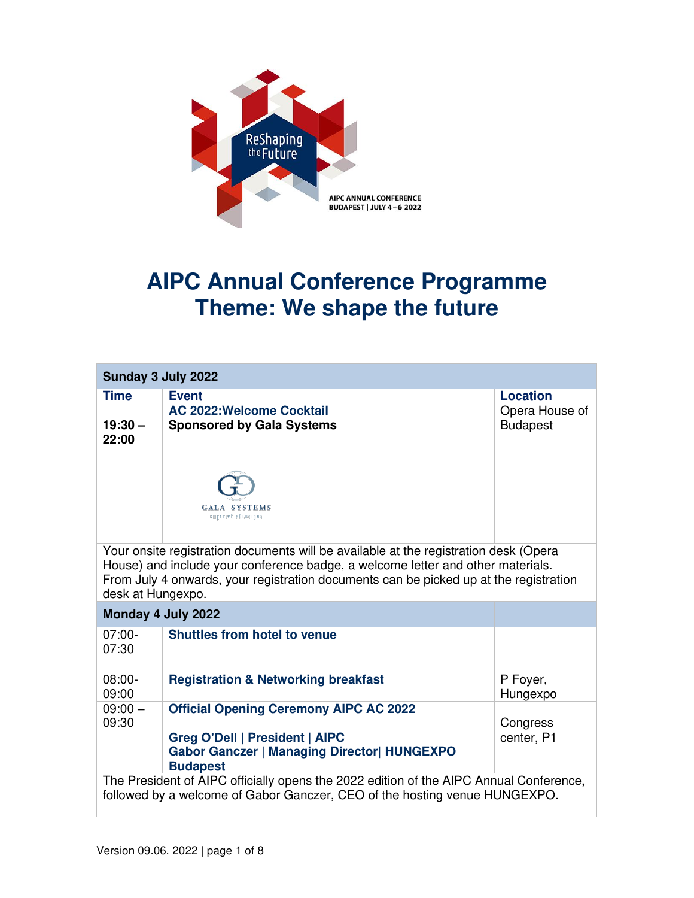

## **AIPC Annual Conference Programme Theme: We shape the future**

| Sunday 3 July 2022                                                                                                                                                                                                                                                                    |                                                                                                                                                          |                                   |  |
|---------------------------------------------------------------------------------------------------------------------------------------------------------------------------------------------------------------------------------------------------------------------------------------|----------------------------------------------------------------------------------------------------------------------------------------------------------|-----------------------------------|--|
| <b>Time</b>                                                                                                                                                                                                                                                                           | <b>Event</b>                                                                                                                                             | <b>Location</b>                   |  |
| $19:30 -$<br>22:00                                                                                                                                                                                                                                                                    | <b>AC 2022: Welcome Cocktail</b><br><b>Sponsored by Gala Systems</b>                                                                                     | Opera House of<br><b>Budapest</b> |  |
|                                                                                                                                                                                                                                                                                       | GALA SYSTEMS<br><b>CREATIVE SOLUTIONS</b>                                                                                                                |                                   |  |
| Your onsite registration documents will be available at the registration desk (Opera<br>House) and include your conference badge, a welcome letter and other materials.<br>From July 4 onwards, your registration documents can be picked up at the registration<br>desk at Hungexpo. |                                                                                                                                                          |                                   |  |
| Monday 4 July 2022                                                                                                                                                                                                                                                                    |                                                                                                                                                          |                                   |  |
| $07:00-$<br>07:30                                                                                                                                                                                                                                                                     | <b>Shuttles from hotel to venue</b>                                                                                                                      |                                   |  |
| $08:00 -$<br>09:00                                                                                                                                                                                                                                                                    | <b>Registration &amp; Networking breakfast</b>                                                                                                           | P Foyer,<br>Hungexpo              |  |
| $09:00 -$<br>09:30                                                                                                                                                                                                                                                                    | <b>Official Opening Ceremony AIPC AC 2022</b><br>Greg O'Dell   President   AIPC<br><b>Gabor Ganczer   Managing Director  HUNGEXPO</b><br><b>Budapest</b> | Congress<br>center, P1            |  |
| The President of AIPC officially opens the 2022 edition of the AIPC Annual Conference,<br>followed by a welcome of Gabor Ganczer, CEO of the hosting venue HUNGEXPO.                                                                                                                  |                                                                                                                                                          |                                   |  |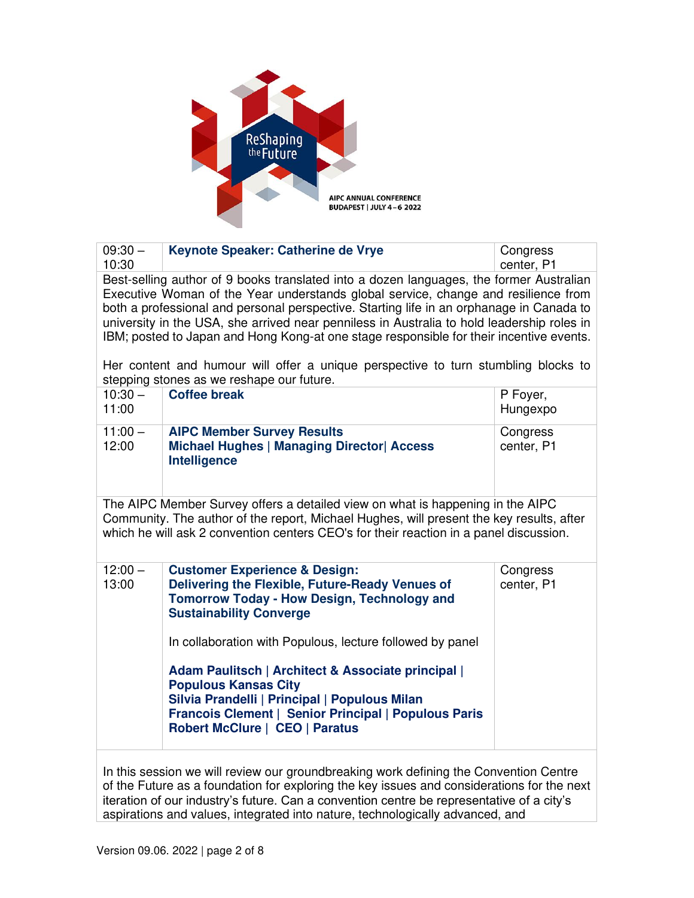

| $09:30 -$<br>10:30                                                                                                                                                                                                                                                                                                                                                                                                                                                                                                                                                                                    | Keynote Speaker: Catherine de Vrye                                                                                                                                                                                                             | Congress<br>center, P1 |  |
|-------------------------------------------------------------------------------------------------------------------------------------------------------------------------------------------------------------------------------------------------------------------------------------------------------------------------------------------------------------------------------------------------------------------------------------------------------------------------------------------------------------------------------------------------------------------------------------------------------|------------------------------------------------------------------------------------------------------------------------------------------------------------------------------------------------------------------------------------------------|------------------------|--|
| Best-selling author of 9 books translated into a dozen languages, the former Australian<br>Executive Woman of the Year understands global service, change and resilience from<br>both a professional and personal perspective. Starting life in an orphanage in Canada to<br>university in the USA, she arrived near penniless in Australia to hold leadership roles in<br>IBM; posted to Japan and Hong Kong-at one stage responsible for their incentive events.<br>Her content and humour will offer a unique perspective to turn stumbling blocks to<br>stepping stones as we reshape our future. |                                                                                                                                                                                                                                                |                        |  |
| $10:30 -$<br>11:00                                                                                                                                                                                                                                                                                                                                                                                                                                                                                                                                                                                    | <b>Coffee break</b>                                                                                                                                                                                                                            | P Foyer,<br>Hungexpo   |  |
| $11:00 -$<br>12:00                                                                                                                                                                                                                                                                                                                                                                                                                                                                                                                                                                                    | <b>AIPC Member Survey Results</b><br><b>Michael Hughes   Managing Director   Access</b><br><b>Intelligence</b>                                                                                                                                 | Congress<br>center, P1 |  |
| The AIPC Member Survey offers a detailed view on what is happening in the AIPC<br>Community. The author of the report, Michael Hughes, will present the key results, after<br>which he will ask 2 convention centers CEO's for their reaction in a panel discussion.                                                                                                                                                                                                                                                                                                                                  |                                                                                                                                                                                                                                                |                        |  |
| $12:00 -$<br>13:00                                                                                                                                                                                                                                                                                                                                                                                                                                                                                                                                                                                    | <b>Customer Experience &amp; Design:</b><br>Delivering the Flexible, Future-Ready Venues of<br><b>Tomorrow Today - How Design, Technology and</b><br><b>Sustainability Converge</b>                                                            | Congress<br>center, P1 |  |
|                                                                                                                                                                                                                                                                                                                                                                                                                                                                                                                                                                                                       | In collaboration with Populous, lecture followed by panel                                                                                                                                                                                      |                        |  |
|                                                                                                                                                                                                                                                                                                                                                                                                                                                                                                                                                                                                       | <b>Adam Paulitsch   Architect &amp; Associate principal  </b><br><b>Populous Kansas City</b><br>Silvia Prandelli   Principal   Populous Milan<br>Francois Clement   Senior Principal   Populous Paris<br><b>Robert McClure   CEO   Paratus</b> |                        |  |
| In this session we will review our groundbreaking work defining the Convention Centre<br>of the Future as a foundation for exploring the key issues and considerations for the next<br>iteration of our industry's future. Can a convention centre be representative of a city's                                                                                                                                                                                                                                                                                                                      |                                                                                                                                                                                                                                                |                        |  |

aspirations and values, integrated into nature, technologically advanced, and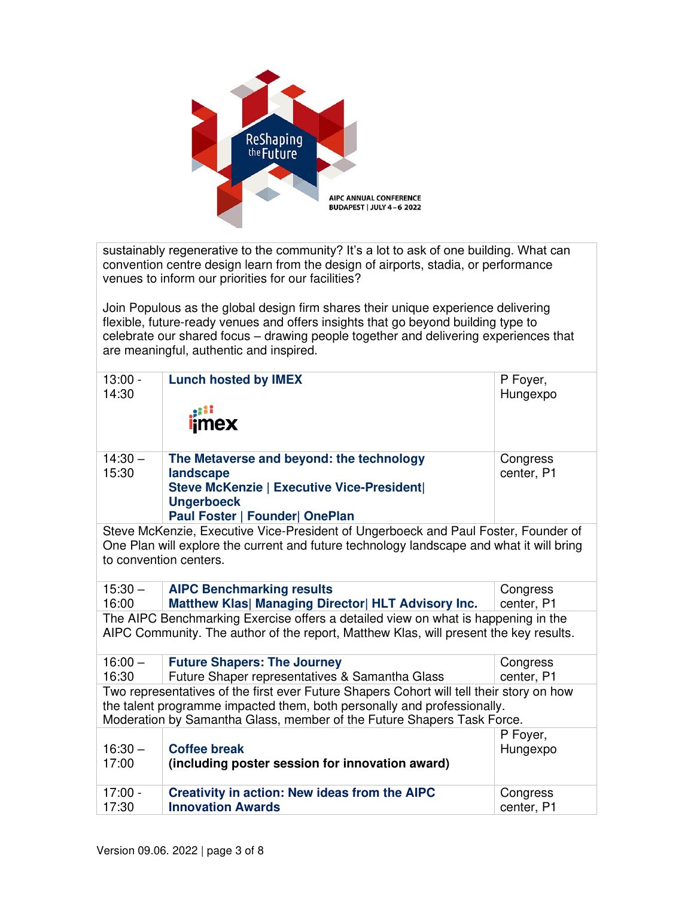

sustainably regenerative to the community? It's a lot to ask of one building. What can convention centre design learn from the design of airports, stadia, or performance venues to inform our priorities for our facilities?

Join Populous as the global design firm shares their unique experience delivering flexible, future-ready venues and offers insights that go beyond building type to celebrate our shared focus – drawing people together and delivering experiences that are meaningful, authentic and inspired.

| $13:00 -$<br>14:30                                                      | <b>Lunch hosted by IMEX</b>                                                              | P Foyer,<br>Hungexpo |  |
|-------------------------------------------------------------------------|------------------------------------------------------------------------------------------|----------------------|--|
|                                                                         |                                                                                          |                      |  |
|                                                                         | <i>i</i> mex                                                                             |                      |  |
|                                                                         |                                                                                          |                      |  |
|                                                                         |                                                                                          |                      |  |
| $14:30 -$                                                               | The Metaverse and beyond: the technology                                                 | Congress             |  |
| 15:30                                                                   | landscape                                                                                | center, P1           |  |
|                                                                         | <b>Steve McKenzie   Executive Vice-President </b><br><b>Ungerboeck</b>                   |                      |  |
|                                                                         | Paul Foster   Founder  OnePlan                                                           |                      |  |
|                                                                         | Steve McKenzie, Executive Vice-President of Ungerboeck and Paul Foster, Founder of       |                      |  |
|                                                                         | One Plan will explore the current and future technology landscape and what it will bring |                      |  |
|                                                                         | to convention centers.                                                                   |                      |  |
|                                                                         |                                                                                          |                      |  |
| $15:30 -$                                                               | <b>AIPC Benchmarking results</b>                                                         | Congress             |  |
| 16:00                                                                   | Matthew Klas  Managing Director  HLT Advisory Inc.                                       | center, P1           |  |
|                                                                         | The AIPC Benchmarking Exercise offers a detailed view on what is happening in the        |                      |  |
|                                                                         | AIPC Community. The author of the report, Matthew Klas, will present the key results.    |                      |  |
|                                                                         |                                                                                          |                      |  |
| $16:00 -$                                                               | <b>Future Shapers: The Journey</b>                                                       | Congress             |  |
| 16:30                                                                   | Future Shaper representatives & Samantha Glass                                           | center, P1           |  |
|                                                                         | Two representatives of the first ever Future Shapers Cohort will tell their story on how |                      |  |
| the talent programme impacted them, both personally and professionally. |                                                                                          |                      |  |
|                                                                         | Moderation by Samantha Glass, member of the Future Shapers Task Force.                   |                      |  |
|                                                                         |                                                                                          | P Foyer,             |  |
| $16:30 -$                                                               | <b>Coffee break</b>                                                                      | Hungexpo             |  |
| 17:00                                                                   | (including poster session for innovation award)                                          |                      |  |
| $17:00 -$                                                               | <b>Creativity in action: New ideas from the AIPC</b>                                     | Congress             |  |
| 17:30                                                                   | <b>Innovation Awards</b>                                                                 | center, P1           |  |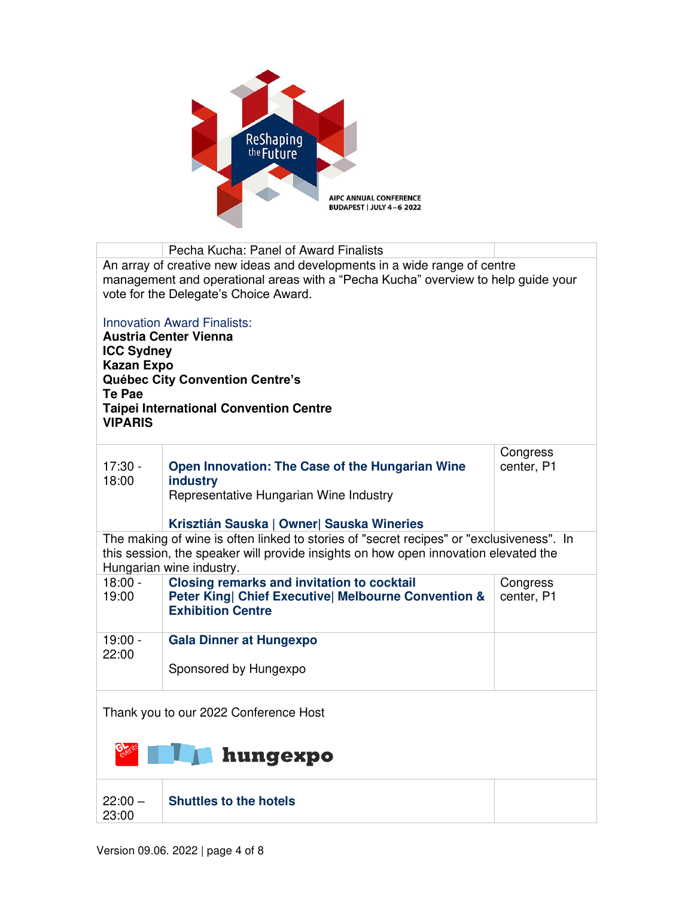

|                                                                                                                                                                                                                                                          | Pecha Kucha: Panel of Award Finalists                                                                                                |                        |  |
|----------------------------------------------------------------------------------------------------------------------------------------------------------------------------------------------------------------------------------------------------------|--------------------------------------------------------------------------------------------------------------------------------------|------------------------|--|
| An array of creative new ideas and developments in a wide range of centre<br>management and operational areas with a "Pecha Kucha" overview to help guide your<br>vote for the Delegate's Choice Award.                                                  |                                                                                                                                      |                        |  |
| <b>Innovation Award Finalists:</b><br><b>Austria Center Vienna</b><br><b>ICC Sydney</b><br><b>Kazan Expo</b><br>Québec City Convention Centre's<br><b>Te Pae</b><br><b>Taipei International Convention Centre</b><br><b>VIPARIS</b>                      |                                                                                                                                      |                        |  |
| $17:30 -$<br>18:00                                                                                                                                                                                                                                       | Open Innovation: The Case of the Hungarian Wine<br>industry<br>Representative Hungarian Wine Industry                                | Congress<br>center, P1 |  |
| Krisztián Sauska   Owner  Sauska Wineries<br>The making of wine is often linked to stories of "secret recipes" or "exclusiveness". In<br>this session, the speaker will provide insights on how open innovation elevated the<br>Hungarian wine industry. |                                                                                                                                      |                        |  |
| $18:00 -$<br>19:00                                                                                                                                                                                                                                       | <b>Closing remarks and invitation to cocktail</b><br>Peter King  Chief Executive  Melbourne Convention &<br><b>Exhibition Centre</b> | Congress<br>center, P1 |  |
| $19:00 -$<br>22:00                                                                                                                                                                                                                                       | <b>Gala Dinner at Hungexpo</b><br>Sponsored by Hungexpo                                                                              |                        |  |
| Thank you to our 2022 Conference Host                                                                                                                                                                                                                    |                                                                                                                                      |                        |  |
| <b>A</b> hungexpo                                                                                                                                                                                                                                        |                                                                                                                                      |                        |  |
| $22:00 -$<br>23:00                                                                                                                                                                                                                                       | <b>Shuttles to the hotels</b>                                                                                                        |                        |  |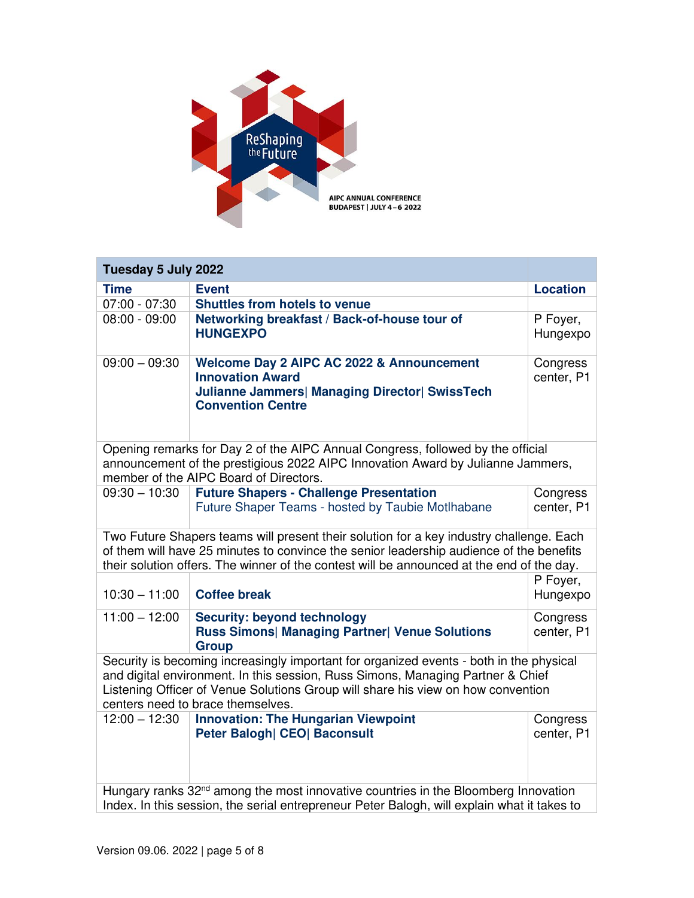

| Tuesday 5 July 2022                                                                                                                                                                                                                                                                                 |                                                                                                                                                           |                        |  |
|-----------------------------------------------------------------------------------------------------------------------------------------------------------------------------------------------------------------------------------------------------------------------------------------------------|-----------------------------------------------------------------------------------------------------------------------------------------------------------|------------------------|--|
| <b>Time</b>                                                                                                                                                                                                                                                                                         | <b>Event</b>                                                                                                                                              | <b>Location</b>        |  |
| $07:00 - 07:30$                                                                                                                                                                                                                                                                                     | <b>Shuttles from hotels to venue</b>                                                                                                                      |                        |  |
| $08:00 - 09:00$                                                                                                                                                                                                                                                                                     | Networking breakfast / Back-of-house tour of<br><b>HUNGEXPO</b>                                                                                           | P Foyer,<br>Hungexpo   |  |
| $09:00 - 09:30$                                                                                                                                                                                                                                                                                     | Welcome Day 2 AIPC AC 2022 & Announcement<br><b>Innovation Award</b><br><b>Julianne Jammers  Managing Director  SwissTech</b><br><b>Convention Centre</b> | Congress<br>center, P1 |  |
| Opening remarks for Day 2 of the AIPC Annual Congress, followed by the official<br>announcement of the prestigious 2022 AIPC Innovation Award by Julianne Jammers,<br>member of the AIPC Board of Directors.                                                                                        |                                                                                                                                                           |                        |  |
| $09:30 - 10:30$                                                                                                                                                                                                                                                                                     | <b>Future Shapers - Challenge Presentation</b><br>Future Shaper Teams - hosted by Taubie Motlhabane                                                       | Congress<br>center, P1 |  |
| Two Future Shapers teams will present their solution for a key industry challenge. Each<br>of them will have 25 minutes to convince the senior leadership audience of the benefits<br>their solution offers. The winner of the contest will be announced at the end of the day.                     |                                                                                                                                                           |                        |  |
| $10:30 - 11:00$                                                                                                                                                                                                                                                                                     | <b>Coffee break</b>                                                                                                                                       | P Foyer,<br>Hungexpo   |  |
| $11:00 - 12:00$                                                                                                                                                                                                                                                                                     | <b>Security: beyond technology</b><br><b>Russ Simons  Managing Partner  Venue Solutions</b><br><b>Group</b>                                               | Congress<br>center, P1 |  |
| Security is becoming increasingly important for organized events - both in the physical<br>and digital environment. In this session, Russ Simons, Managing Partner & Chief<br>Listening Officer of Venue Solutions Group will share his view on how convention<br>centers need to brace themselves. |                                                                                                                                                           |                        |  |
| $12:00 - 12:30$                                                                                                                                                                                                                                                                                     | <b>Innovation: The Hungarian Viewpoint</b><br><b>Peter Balogh  CEO  Baconsult</b>                                                                         | Congress<br>center, P1 |  |
| Hungary ranks 32 <sup>nd</sup> among the most innovative countries in the Bloomberg Innovation<br>Index. In this session, the serial entrepreneur Peter Balogh, will explain what it takes to                                                                                                       |                                                                                                                                                           |                        |  |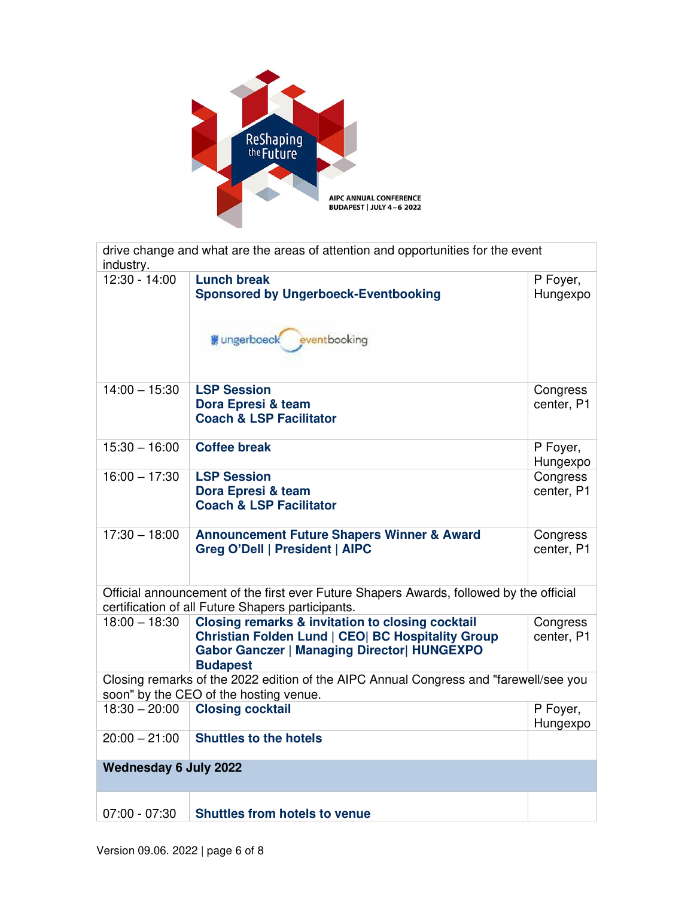

| industry.                                                                                                                                    | drive change and what are the areas of attention and opportunities for the event                                                                                                          |                        |  |
|----------------------------------------------------------------------------------------------------------------------------------------------|-------------------------------------------------------------------------------------------------------------------------------------------------------------------------------------------|------------------------|--|
| 12:30 - 14:00                                                                                                                                | <b>Lunch break</b><br><b>Sponsored by Ungerboeck-Eventbooking</b>                                                                                                                         | P Foyer,<br>Hungexpo   |  |
|                                                                                                                                              | 鬱 ungerboeck<br>eventbooking                                                                                                                                                              |                        |  |
| $14:00 - 15:30$                                                                                                                              | <b>LSP Session</b><br>Dora Epresi & team<br><b>Coach &amp; LSP Facilitator</b>                                                                                                            | Congress<br>center, P1 |  |
| $15:30 - 16:00$                                                                                                                              | <b>Coffee break</b>                                                                                                                                                                       | P Foyer,<br>Hungexpo   |  |
| $16:00 - 17:30$                                                                                                                              | <b>LSP Session</b><br>Dora Epresi & team<br><b>Coach &amp; LSP Facilitator</b>                                                                                                            | Congress<br>center, P1 |  |
| $17:30 - 18:00$                                                                                                                              | <b>Announcement Future Shapers Winner &amp; Award</b><br><b>Greg O'Dell   President   AIPC</b>                                                                                            | Congress<br>center, P1 |  |
| Official announcement of the first ever Future Shapers Awards, followed by the official<br>certification of all Future Shapers participants. |                                                                                                                                                                                           |                        |  |
| $18:00 - 18:30$                                                                                                                              | <b>Closing remarks &amp; invitation to closing cocktail</b><br>Christian Folden Lund   CEO  BC Hospitality Group<br><b>Gabor Ganczer   Managing Director  HUNGEXPO</b><br><b>Budapest</b> | Congress<br>center, P1 |  |
| Closing remarks of the 2022 edition of the AIPC Annual Congress and "farewell/see you<br>soon" by the CEO of the hosting venue.              |                                                                                                                                                                                           |                        |  |
| $18:30 - 20:00$                                                                                                                              | <b>Closing cocktail</b>                                                                                                                                                                   | P Foyer,<br>Hungexpo   |  |
| $20:00 - 21:00$                                                                                                                              | <b>Shuttles to the hotels</b>                                                                                                                                                             |                        |  |
| <b>Wednesday 6 July 2022</b>                                                                                                                 |                                                                                                                                                                                           |                        |  |
| $07:00 - 07:30$                                                                                                                              | <b>Shuttles from hotels to venue</b>                                                                                                                                                      |                        |  |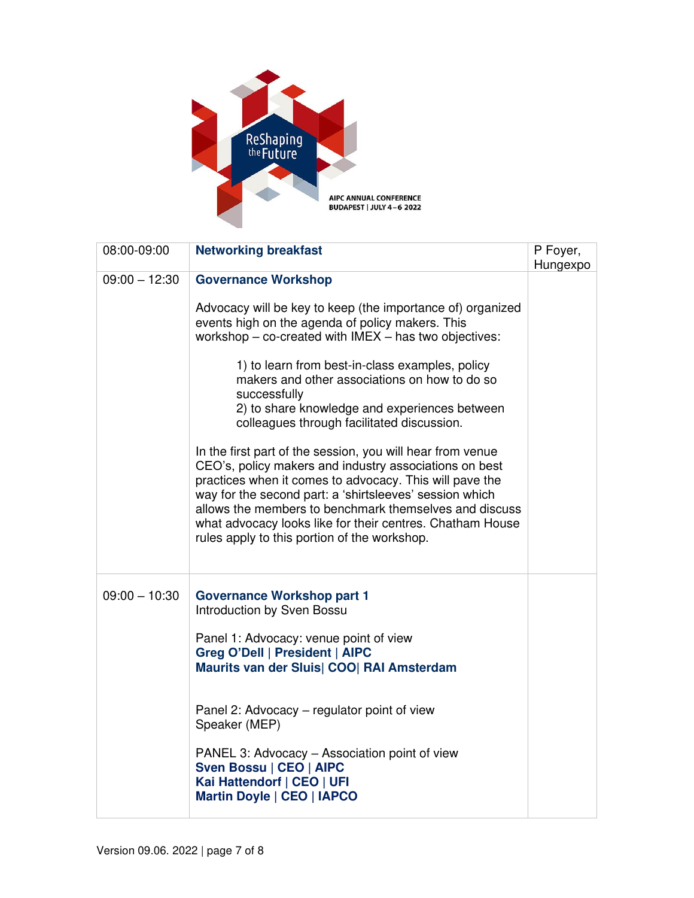

| 08:00-09:00     | <b>Networking breakfast</b>                                                                                                                                                                                                                                                                                                                                                                                       | P Foyer,<br>Hungexpo |
|-----------------|-------------------------------------------------------------------------------------------------------------------------------------------------------------------------------------------------------------------------------------------------------------------------------------------------------------------------------------------------------------------------------------------------------------------|----------------------|
| $09:00 - 12:30$ | <b>Governance Workshop</b>                                                                                                                                                                                                                                                                                                                                                                                        |                      |
|                 | Advocacy will be key to keep (the importance of) organized<br>events high on the agenda of policy makers. This<br>workshop - co-created with IMEX - has two objectives:                                                                                                                                                                                                                                           |                      |
|                 | 1) to learn from best-in-class examples, policy<br>makers and other associations on how to do so<br>successfully<br>2) to share knowledge and experiences between<br>colleagues through facilitated discussion.                                                                                                                                                                                                   |                      |
|                 | In the first part of the session, you will hear from venue<br>CEO's, policy makers and industry associations on best<br>practices when it comes to advocacy. This will pave the<br>way for the second part: a 'shirtsleeves' session which<br>allows the members to benchmark themselves and discuss<br>what advocacy looks like for their centres. Chatham House<br>rules apply to this portion of the workshop. |                      |
| $09:00 - 10:30$ | <b>Governance Workshop part 1</b><br><b>Introduction by Sven Bossu</b><br>Panel 1: Advocacy: venue point of view<br>Greg O'Dell   President   AIPC<br>Maurits van der Sluis  COO  RAI Amsterdam                                                                                                                                                                                                                   |                      |
|                 | Panel 2: Advocacy - regulator point of view<br>Speaker (MEP)                                                                                                                                                                                                                                                                                                                                                      |                      |
|                 | PANEL 3: Advocacy - Association point of view<br>Sven Bossu   CEO   AIPC<br>Kai Hattendorf   CEO   UFI<br><b>Martin Doyle   CEO   IAPCO</b>                                                                                                                                                                                                                                                                       |                      |